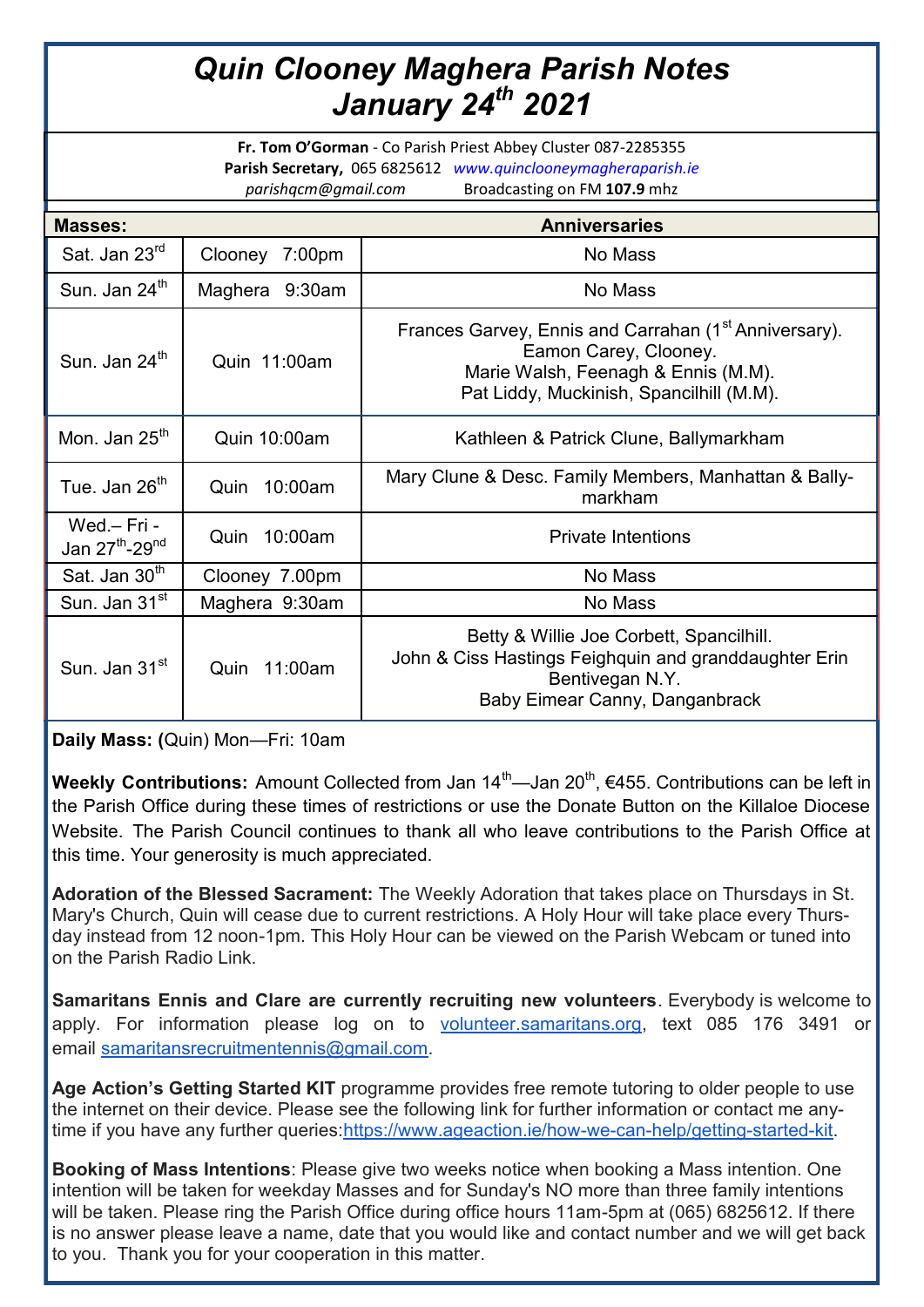## *Quin Clooney Maghera Parish Notes January 24th 2021*

**Fr. Tom O'Gorman** - Co Parish Priest Abbey Cluster 087-2285355 **Parish Secretary,** 065 6825612 *www.quinclooneymagheraparish.ie parishqcm@gmail.com* Broadcasting on FM **107.9** mhz

| <b>Masses:</b>                                        |                 | <b>Anniversaries</b>                                                                                                                                                          |
|-------------------------------------------------------|-----------------|-------------------------------------------------------------------------------------------------------------------------------------------------------------------------------|
| Sat. Jan 23rd                                         | Clooney 7:00pm  | No Mass                                                                                                                                                                       |
| Sun. Jan 24 <sup>th</sup>                             | Maghera 9:30am  | No Mass                                                                                                                                                                       |
| Sun. Jan 24 <sup>th</sup>                             | Quin 11:00am    | Frances Garvey, Ennis and Carrahan (1 <sup>st</sup> Anniversary).<br>Eamon Carey, Clooney.<br>Marie Walsh, Feenagh & Ennis (M.M).<br>Pat Liddy, Muckinish, Spancilhill (M.M). |
| Mon. Jan $25th$                                       | Quin 10:00am    | Kathleen & Patrick Clune, Ballymarkham                                                                                                                                        |
| Tue. Jan 26 <sup>th</sup>                             | 10:00am<br>Quin | Mary Clune & Desc. Family Members, Manhattan & Bally-<br>markham                                                                                                              |
| Wed - Fri -<br>Jan 27 <sup>th</sup> -29 <sup>nd</sup> | 10:00am<br>Quin | <b>Private Intentions</b>                                                                                                                                                     |
| Sat. Jan 30 <sup>th</sup>                             | Clooney 7.00pm  | No Mass                                                                                                                                                                       |
| Sun. Jan 31 <sup>st</sup>                             | Maghera 9:30am  | No Mass                                                                                                                                                                       |
| Sun. Jan 31 <sup>st</sup>                             | 11:00am<br>Quin | Betty & Willie Joe Corbett, Spancilhill.<br>John & Ciss Hastings Feighquin and granddaughter Erin<br>Bentivegan N.Y.<br>Baby Eimear Canny, Danganbrack                        |

**Daily Mass: (**Quin) Mon—Fri: 10am

**Weekly Contributions:** Amount Collected from Jan 14<sup>th</sup>—Jan 20<sup>th</sup>, €455. Contributions can be left in the Parish Office during these times of restrictions or use the Donate Button on the Killaloe Diocese Website. The Parish Council continues to thank all who leave contributions to the Parish Office at this time. Your generosity is much appreciated.

**Adoration of the Blessed Sacrament:** The Weekly Adoration that takes place on Thursdays in St. Mary's Church, Quin will cease due to current restrictions. A Holy Hour will take place every Thursday instead from 12 noon-1pm. This Holy Hour can be viewed on the Parish Webcam or tuned into on the Parish Radio Link.

**Samaritans Ennis and Clare are currently recruiting new volunteers**. Everybody is welcome to apply. For information please log on to [volunteer.samaritans.org,](http://volunteer.samaritans.org/) text 085 176 3491 or email [samaritansrecruitmentennis@gmail.com.](mailto:samaritansrecruitmentennis@gmail.com)

**Age Action's Getting Started KIT** programme provides free remote tutoring to older people to use the internet on their device. Please see the following link for further information or contact me any-time if you have any further queries[:https://www.ageaction.ie/how-we-can-help/getting-started-kit.](https://www.ageaction.ie/how-we-can-help/getting-started-kit)

**Booking of Mass Intentions**: Please give two weeks notice when booking a Mass intention. One intention will be taken for weekday Masses and for Sunday's NO more than three family intentions will be taken. Please ring the Parish Office during office hours 11am-5pm at (065) 6825612. If there is no answer please leave a name, date that you would like and contact number and we will get back to you. Thank you for your cooperation in this matter.